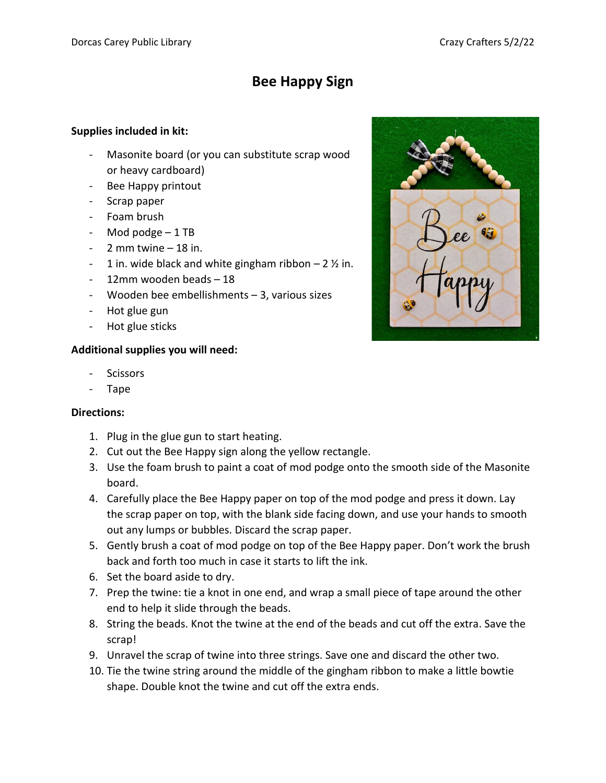## **Bee Happy Sign**

## **Supplies included in kit:**

- Masonite board (or you can substitute scrap wood or heavy cardboard)
- Bee Happy printout
- Scrap paper
- Foam brush
- Mod podge 1 TB
- $-2$  mm twine  $-18$  in.
- 1 in. wide black and white gingham ribbon  $-2\frac{1}{2}$  in.
- 12mm wooden beads 18
- Wooden bee embellishments 3, various sizes
- Hot glue gun
- Hot glue sticks

## **Additional supplies you will need:**

- **Scissors**
- Tape

## **Directions:**

- 1. Plug in the glue gun to start heating.
- 2. Cut out the Bee Happy sign along the yellow rectangle.
- 3. Use the foam brush to paint a coat of mod podge onto the smooth side of the Masonite board.
- 4. Carefully place the Bee Happy paper on top of the mod podge and press it down. Lay the scrap paper on top, with the blank side facing down, and use your hands to smooth out any lumps or bubbles. Discard the scrap paper.
- 5. Gently brush a coat of mod podge on top of the Bee Happy paper. Don't work the brush back and forth too much in case it starts to lift the ink.
- 6. Set the board aside to dry.
- 7. Prep the twine: tie a knot in one end, and wrap a small piece of tape around the other end to help it slide through the beads.
- 8. String the beads. Knot the twine at the end of the beads and cut off the extra. Save the scrap!
- 9. Unravel the scrap of twine into three strings. Save one and discard the other two.
- 10. Tie the twine string around the middle of the gingham ribbon to make a little bowtie shape. Double knot the twine and cut off the extra ends.